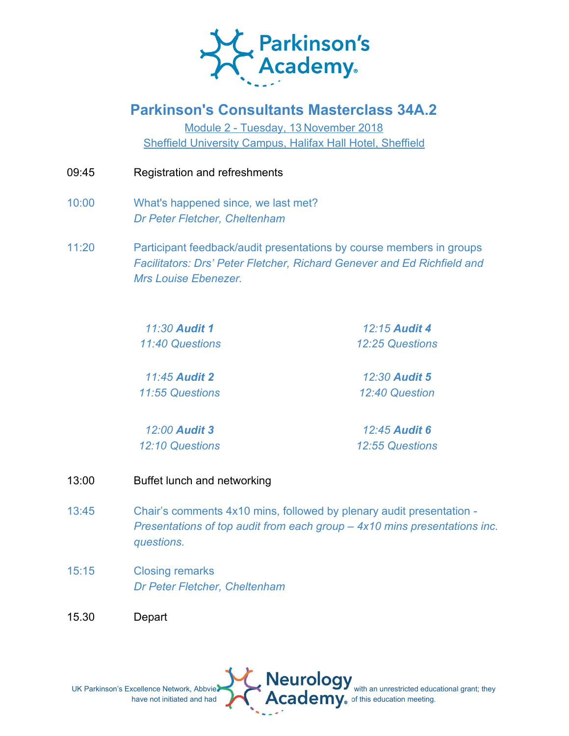

## **Parkinson's Consultants Masterclass 34A.2**

Module 2 - Tuesday, 13 November 2018 Sheffield University Campus, Halifax Hall Hotel, Sheffield

- 09:45 Registration and refreshments
- 10:00 What's happened since*,* we last met? *Dr Peter Fletcher, Cheltenham*
- 11:20 Participant feedback/audit presentations by course members in groups *Facilitators: Drs' Peter Fletcher, Richard Genever and Ed Richfield and Mrs Louise Ebenezer.*

*11:30 Audit 1 11:40 Questions*

*12:15 Audit 4 12:25 Questions*

*11:45 Audit 2 11:55 Questions*

*12:30 Audit 5 12:40 Question*

*12:00 Audit 3 12:10 Questions*

*12:45 Audit 6 12:55 Questions*

- 13:00 Buffet lunch and networking
- 13:45 Chair's comments 4x10 mins, followed by plenary audit presentation *- Presentations of top audit from each group – 4x10 mins presentations inc. questions.*
- 15:15 Closing remarks *Dr Peter Fletcher, Cheltenham*

15.30 Depart

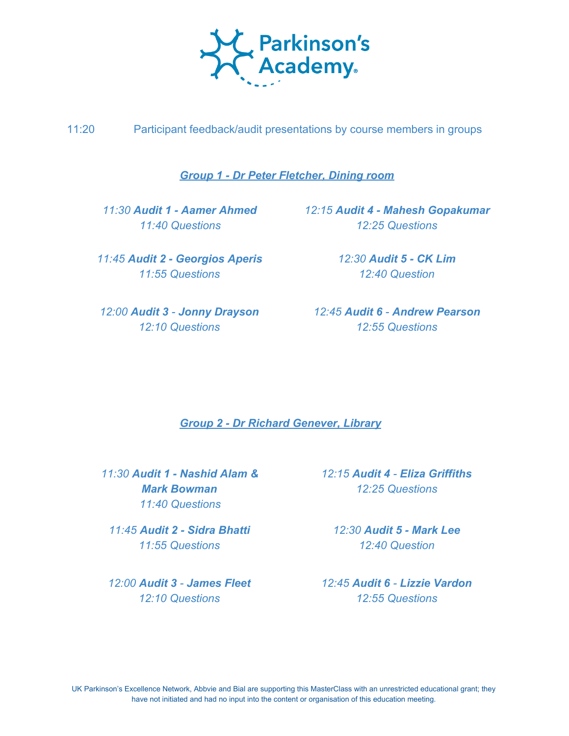

11:20 Participant feedback/audit presentations by course members in groups

*Group 1 - Dr Peter Fletcher, Dining room*

 *11:40 Questions*

*11:45 Audit 2 - Georgios Aperis 11:55 Questions*

*11:30 Audit 1 - Aamer Ahmed 12:15 Audit 4 - Mahesh Gopakumar 12:25 Questions*

> *12:30 Audit 5 - CK Lim 12:40 Question*

*12:10 Questions*

*12:00 Audit 3 - Jonny Drayson 12:45 Audit 6 - Andrew Pearson 12:55 Questions*

*Group 2 - Dr Richard Genever, Library*

*11:30 Audit 1 - Nashid Alam & Mark Bowman 11:40 Questions*

*11:45 Audit 2 - Sidra Bhatti 11:55 Questions*

*12:00 Audit 3 - James Fleet 12:10 Questions*

*12:15 Audit 4 - Eliza Griffiths 12:25 Questions*

*12:30 Audit 5 - Mark Lee 12:40 Question*

*12:45 Audit 6 - Lizzie Vardon 12:55 Questions*

UK Parkinson's Excellence Network, Abbvie and Bial are supporting this MasterClass with an unrestricted educational grant; they have not initiated and had no input into the content or organisation of this education meeting.